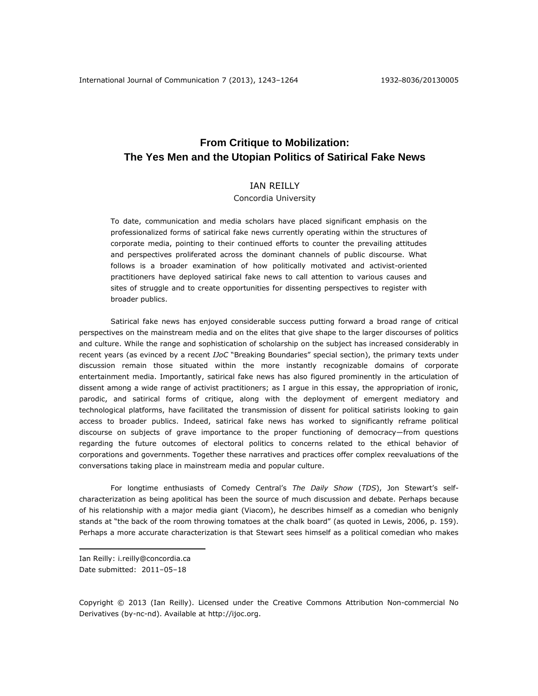# **From Critique to Mobilization: The Yes Men and the Utopian Politics of Satirical Fake News**

# IAN REILLY

# Concordia University

To date, communication and media scholars have placed significant emphasis on the professionalized forms of satirical fake news currently operating within the structures of corporate media, pointing to their continued efforts to counter the prevailing attitudes and perspectives proliferated across the dominant channels of public discourse. What follows is a broader examination of how politically motivated and activist-oriented practitioners have deployed satirical fake news to call attention to various causes and sites of struggle and to create opportunities for dissenting perspectives to register with broader publics.

Satirical fake news has enjoyed considerable success putting forward a broad range of critical perspectives on the mainstream media and on the elites that give shape to the larger discourses of politics and culture. While the range and sophistication of scholarship on the subject has increased considerably in recent years (as evinced by a recent *IJoC* "Breaking Boundaries" special section), the primary texts under discussion remain those situated within the more instantly recognizable domains of corporate entertainment media. Importantly, satirical fake news has also figured prominently in the articulation of dissent among a wide range of activist practitioners; as I argue in this essay, the appropriation of ironic, parodic, and satirical forms of critique, along with the deployment of emergent mediatory and technological platforms, have facilitated the transmission of dissent for political satirists looking to gain access to broader publics. Indeed, satirical fake news has worked to significantly reframe political discourse on subjects of grave importance to the proper functioning of democracy—from questions regarding the future outcomes of electoral politics to concerns related to the ethical behavior of corporations and governments. Together these narratives and practices offer complex reevaluations of the conversations taking place in mainstream media and popular culture.

For longtime enthusiasts of Comedy Central's *The Daily Show* (*TDS*), Jon Stewart's selfcharacterization as being apolitical has been the source of much discussion and debate. Perhaps because of his relationship with a major media giant (Viacom), he describes himself as a comedian who benignly stands at "the back of the room throwing tomatoes at the chalk board" (as quoted in Lewis, 2006, p. 159). Perhaps a more accurate characterization is that Stewart sees himself as a political comedian who makes

Ian Reilly: [i.reilly@concordia.ca](mailto:i.reilly@concordia.ca) Date submitted: 2011–05–18

 $\overline{a}$ 

Copyright © 2013 (Ian Reilly). Licensed under the Creative Commons Attribution Non-commercial No Derivatives (by-nc-nd). Available at http://ijoc.org.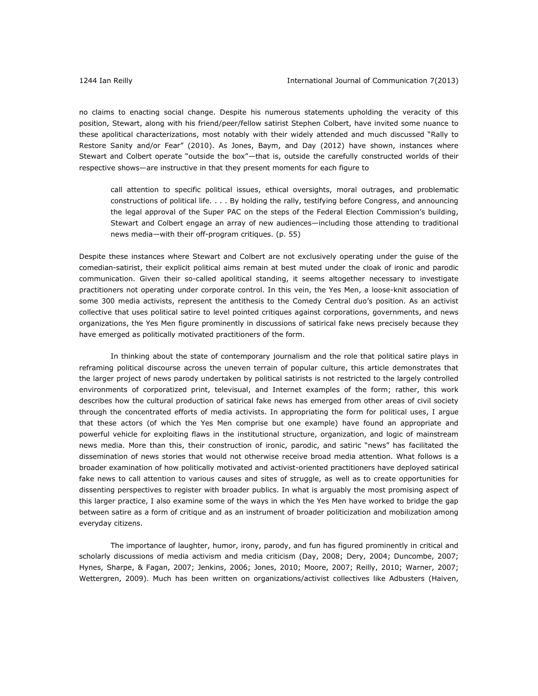no claims to enacting social change. Despite his numerous statements upholding the veracity of this position, Stewart, along with his friend/peer/fellow satirist Stephen Colbert, have invited some nuance to these apolitical characterizations, most notably with their widely attended and much discussed "Rally to Restore Sanity and/or Fear" (2010). As Jones, Baym, and Day (2012) have shown, instances where Stewart and Colbert operate "outside the box"—that is, outside the carefully constructed worlds of their respective shows—are instructive in that they present moments for each figure to

call attention to specific political issues, ethical oversights, moral outrages, and problematic constructions of political life. . . . By holding the rally, testifying before Congress, and announcing the legal approval of the Super PAC on the steps of the Federal Election Commission's building, Stewart and Colbert engage an array of new audiences—including those attending to traditional news media—with their off-program critiques. (p. 55)

Despite these instances where Stewart and Colbert are not exclusively operating under the guise of the comedian-satirist, their explicit political aims remain at best muted under the cloak of ironic and parodic communication. Given their so-called apolitical standing, it seems altogether necessary to investigate practitioners not operating under corporate control. In this vein, the Yes Men, a loose-knit association of some 300 media activists, represent the antithesis to the Comedy Central duo's position. As an activist collective that uses political satire to level pointed critiques against corporations, governments, and news organizations, the Yes Men figure prominently in discussions of satirical fake news precisely because they have emerged as politically motivated practitioners of the form.

In thinking about the state of contemporary journalism and the role that political satire plays in reframing political discourse across the uneven terrain of popular culture, this article demonstrates that the larger project of news parody undertaken by political satirists is not restricted to the largely controlled environments of corporatized print, televisual, and Internet examples of the form; rather, this work describes how the cultural production of satirical fake news has emerged from other areas of civil society through the concentrated efforts of media activists. In appropriating the form for political uses, I argue that these actors (of which the Yes Men comprise but one example) have found an appropriate and powerful vehicle for exploiting flaws in the institutional structure, organization, and logic of mainstream news media. More than this, their construction of ironic, parodic, and satiric "news" has facilitated the dissemination of news stories that would not otherwise receive broad media attention. What follows is a broader examination of how politically motivated and activist-oriented practitioners have deployed satirical fake news to call attention to various causes and sites of struggle, as well as to create opportunities for dissenting perspectives to register with broader publics. In what is arguably the most promising aspect of this larger practice, I also examine some of the ways in which the Yes Men have worked to bridge the gap between satire as a form of critique and as an instrument of broader politicization and mobilization among everyday citizens.

The importance of laughter, humor, irony, parody, and fun has figured prominently in critical and scholarly discussions of media activism and media criticism (Day, 2008; Dery, 2004; Duncombe, 2007; Hynes, Sharpe, & Fagan, 2007; Jenkins, 2006; Jones, 2010; Moore, 2007; Reilly, 2010; Warner, 2007; Wettergren, 2009). Much has been written on organizations/activist collectives like Adbusters (Haiven,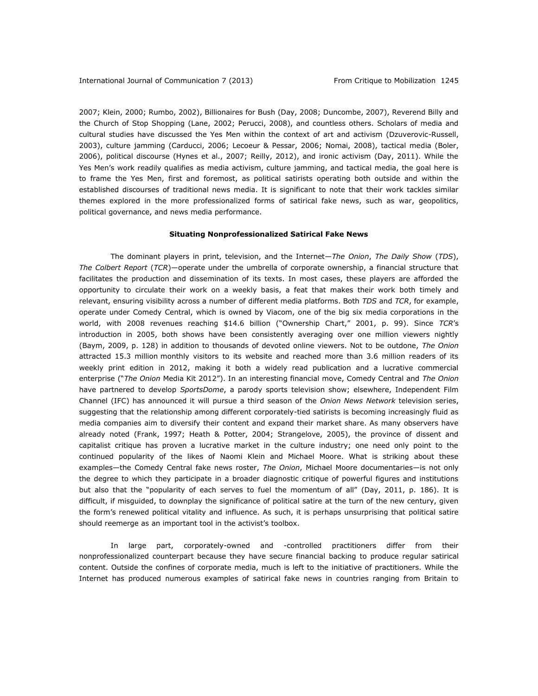2007; Klein, 2000; Rumbo, 2002), Billionaires for Bush (Day, 2008; Duncombe, 2007), Reverend Billy and the Church of Stop Shopping (Lane, 2002; Perucci, 2008), and countless others. Scholars of media and cultural studies have discussed the Yes Men within the context of art and activism (Dzuverovic-Russell, 2003), culture jamming (Carducci, 2006; Lecoeur & Pessar, 2006; Nomai, 2008), tactical media (Boler, 2006), political discourse (Hynes et al., 2007; Reilly, 2012), and ironic activism (Day, 2011). While the Yes Men's work readily qualifies as media activism, culture jamming, and tactical media, the goal here is to frame the Yes Men, first and foremost, as political satirists operating both outside and within the established discourses of traditional news media. It is significant to note that their work tackles similar themes explored in the more professionalized forms of satirical fake news, such as war, geopolitics, political governance, and news media performance.

#### **Situating Nonprofessionalized Satirical Fake News**

The dominant players in print, television, and the Internet—*The Onion*, *The Daily Show* (*TDS*), *The Colbert Report* (*TCR*)—operate under the umbrella of corporate ownership, a financial structure that facilitates the production and dissemination of its texts. In most cases, these players are afforded the opportunity to circulate their work on a weekly basis, a feat that makes their work both timely and relevant, ensuring visibility across a number of different media platforms. Both *TDS* and *TCR*, for example, operate under Comedy Central, which is owned by Viacom, one of the big six media corporations in the world, with 2008 revenues reaching \$14.6 billion ("Ownership Chart," 2001, p. 99). Since *TCR*'s introduction in 2005, both shows have been consistently averaging over one million viewers nightly (Baym, 2009, p. 128) in addition to thousands of devoted online viewers. Not to be outdone, *The Onion* attracted 15.3 million monthly visitors to its website and reached more than 3.6 million readers of its weekly print edition in 2012, making it both a widely read publication and a lucrative commercial enterprise ("*The Onion* Media Kit 2012"). In an interesting financial move, Comedy Central and *The Onion* have partnered to develop *SportsDome*, a parody sports television show; elsewhere, Independent Film Channel (IFC) has announced it will pursue a third season of the *Onion News Network* television series, suggesting that the relationship among different corporately-tied satirists is becoming increasingly fluid as media companies aim to diversify their content and expand their market share. As many observers have already noted (Frank, 1997; Heath & Potter, 2004; Strangelove, 2005), the province of dissent and capitalist critique has proven a lucrative market in the culture industry; one need only point to the continued popularity of the likes of Naomi Klein and Michael Moore. What is striking about these examples—the Comedy Central fake news roster, *The Onion*, Michael Moore documentaries—is not only the degree to which they participate in a broader diagnostic critique of powerful figures and institutions but also that the "popularity of each serves to fuel the momentum of all" (Day, 2011, p. 186). It is difficult, if misguided, to downplay the significance of political satire at the turn of the new century, given the form's renewed political vitality and influence. As such, it is perhaps unsurprising that political satire should reemerge as an important tool in the activist's toolbox.

In large part, corporately-owned and -controlled practitioners differ from their nonprofessionalized counterpart because they have secure financial backing to produce regular satirical content. Outside the confines of corporate media, much is left to the initiative of practitioners. While the Internet has produced numerous examples of satirical fake news in countries ranging from Britain to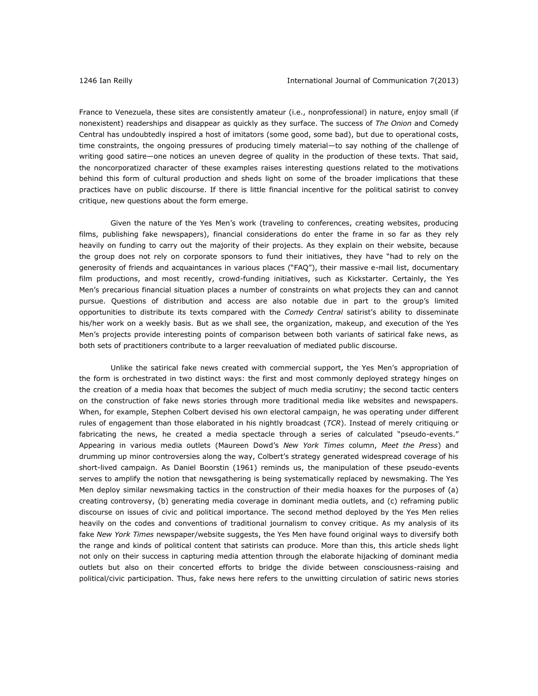France to Venezuela, these sites are consistently amateur (i.e., nonprofessional) in nature, enjoy small (if nonexistent) readerships and disappear as quickly as they surface. The success of *The Onion* and Comedy Central has undoubtedly inspired a host of imitators (some good, some bad), but due to operational costs, time constraints, the ongoing pressures of producing timely material—to say nothing of the challenge of writing good satire—one notices an uneven degree of quality in the production of these texts. That said, the noncorporatized character of these examples raises interesting questions related to the motivations behind this form of cultural production and sheds light on some of the broader implications that these practices have on public discourse. If there is little financial incentive for the political satirist to convey critique, new questions about the form emerge.

Given the nature of the Yes Men's work (traveling to conferences, creating websites, producing films, publishing fake newspapers), financial considerations do enter the frame in so far as they rely heavily on funding to carry out the majority of their projects. As they explain on their website, because the group does not rely on corporate sponsors to fund their initiatives, they have "had to rely on the generosity of friends and acquaintances in various places ("FAQ"), their massive e-mail list, documentary film productions, and most recently, crowd-funding initiatives, such as Kickstarter. Certainly, the Yes Men's precarious financial situation places a number of constraints on what projects they can and cannot pursue. Questions of distribution and access are also notable due in part to the group's limited opportunities to distribute its texts compared with the *Comedy Central* satirist's ability to disseminate his/her work on a weekly basis. But as we shall see, the organization, makeup, and execution of the Yes Men's projects provide interesting points of comparison between both variants of satirical fake news, as both sets of practitioners contribute to a larger reevaluation of mediated public discourse.

Unlike the satirical fake news created with commercial support, the Yes Men's appropriation of the form is orchestrated in two distinct ways: the first and most commonly deployed strategy hinges on the creation of a media hoax that becomes the subject of much media scrutiny; the second tactic centers on the construction of fake news stories through more traditional media like websites and newspapers. When, for example, Stephen Colbert devised his own electoral campaign, he was operating under different rules of engagement than those elaborated in his nightly broadcast (*TCR*). Instead of merely critiquing or fabricating the news, he created a media spectacle through a series of calculated "pseudo-events." Appearing in various media outlets (Maureen Dowd's *New York Times* column, *Meet the Press*) and drumming up minor controversies along the way, Colbert's strategy generated widespread coverage of his short-lived campaign. As Daniel Boorstin (1961) reminds us, the manipulation of these pseudo-events serves to amplify the notion that newsgathering is being systematically replaced by newsmaking. The Yes Men deploy similar newsmaking tactics in the construction of their media hoaxes for the purposes of (a) creating controversy, (b) generating media coverage in dominant media outlets, and (c) reframing public discourse on issues of civic and political importance. The second method deployed by the Yes Men relies heavily on the codes and conventions of traditional journalism to convey critique. As my analysis of its fake *New York Times* newspaper/website suggests, the Yes Men have found original ways to diversify both the range and kinds of political content that satirists can produce. More than this, this article sheds light not only on their success in capturing media attention through the elaborate hijacking of dominant media outlets but also on their concerted efforts to bridge the divide between consciousness-raising and political/civic participation. Thus, fake news here refers to the unwitting circulation of satiric news stories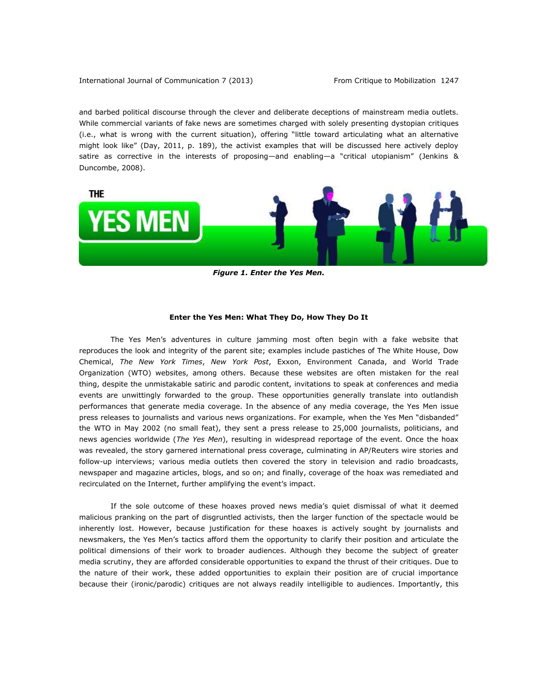and barbed political discourse through the clever and deliberate deceptions of mainstream media outlets. While commercial variants of fake news are sometimes charged with solely presenting dystopian critiques (i.e., what is wrong with the current situation), offering "little toward articulating what an alternative might look like" (Day, 2011, p. 189), the activist examples that will be discussed here actively deploy satire as corrective in the interests of proposing—and enabling—a "critical utopianism" (Jenkins & Duncombe, 2008).



*Figure 1. Enter the Yes Men.*

### **Enter the Yes Men: What They Do, How They Do It**

The Yes Men's adventures in culture jamming most often begin with a fake website that reproduces the look and integrity of the parent site; examples include pastiches of The White House, Dow Chemical, *The New York Times*, *New York Post*, Exxon, Environment Canada, and World Trade Organization (WTO) websites, among others. Because these websites are often mistaken for the real thing, despite the unmistakable satiric and parodic content, invitations to speak at conferences and media events are unwittingly forwarded to the group. These opportunities generally translate into outlandish performances that generate media coverage. In the absence of any media coverage, the Yes Men issue press releases to journalists and various news organizations. For example, when the Yes Men "disbanded" the WTO in May 2002 (no small feat), they sent a press release to 25,000 journalists, politicians, and news agencies worldwide (*The Yes Men*), resulting in widespread reportage of the event. Once the hoax was revealed, the story garnered international press coverage, culminating in AP/Reuters wire stories and follow-up interviews; various media outlets then covered the story in television and radio broadcasts, newspaper and magazine articles, blogs, and so on; and finally, coverage of the hoax was remediated and recirculated on the Internet, further amplifying the event's impact.

If the sole outcome of these hoaxes proved news media's quiet dismissal of what it deemed malicious pranking on the part of disgruntled activists, then the larger function of the spectacle would be inherently lost. However, because justification for these hoaxes is actively sought by journalists and newsmakers, the Yes Men's tactics afford them the opportunity to clarify their position and articulate the political dimensions of their work to broader audiences. Although they become the subject of greater media scrutiny, they are afforded considerable opportunities to expand the thrust of their critiques. Due to the nature of their work, these added opportunities to explain their position are of crucial importance because their (ironic/parodic) critiques are not always readily intelligible to audiences. Importantly, this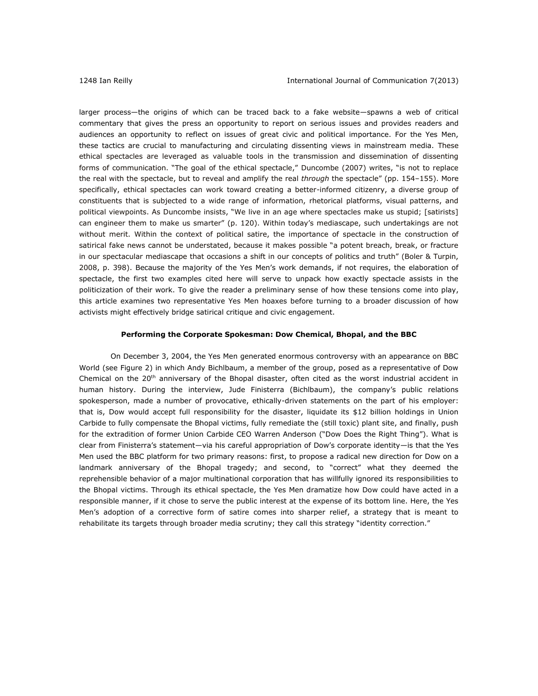larger process—the origins of which can be traced back to a fake website—spawns a web of critical commentary that gives the press an opportunity to report on serious issues and provides readers and audiences an opportunity to reflect on issues of great civic and political importance. For the Yes Men, these tactics are crucial to manufacturing and circulating dissenting views in mainstream media. These ethical spectacles are leveraged as valuable tools in the transmission and dissemination of dissenting forms of communication. "The goal of the ethical spectacle," Duncombe (2007) writes, "is not to replace the real with the spectacle, but to reveal and amplify the real *through* the spectacle" (pp. 154–155). More specifically, ethical spectacles can work toward creating a better-informed citizenry, a diverse group of constituents that is subjected to a wide range of information, rhetorical platforms, visual patterns, and political viewpoints. As Duncombe insists, "We live in an age where spectacles make us stupid; [satirists] can engineer them to make us smarter" (p. 120). Within today's mediascape, such undertakings are not without merit. Within the context of political satire, the importance of spectacle in the construction of satirical fake news cannot be understated, because it makes possible "a potent breach, break, or fracture in our spectacular mediascape that occasions a shift in our concepts of politics and truth" (Boler & Turpin, 2008, p. 398). Because the majority of the Yes Men's work demands, if not requires, the elaboration of spectacle, the first two examples cited here will serve to unpack how exactly spectacle assists in the politicization of their work. To give the reader a preliminary sense of how these tensions come into play, this article examines two representative Yes Men hoaxes before turning to a broader discussion of how activists might effectively bridge satirical critique and civic engagement.

### **Performing the Corporate Spokesman: Dow Chemical, Bhopal, and the BBC**

On December 3, 2004, the Yes Men generated enormous controversy with an appearance on BBC World (see Figure 2) in which Andy Bichlbaum, a member of the group, posed as a representative of Dow Chemical on the  $20<sup>th</sup>$  anniversary of the Bhopal disaster, often cited as the worst industrial accident in human history. During the interview, Jude Finisterra (Bichlbaum), the company's public relations spokesperson, made a number of provocative, ethically-driven statements on the part of his employer: that is, Dow would accept full responsibility for the disaster, liquidate its \$12 billion holdings in Union Carbide to fully compensate the Bhopal victims, fully remediate the (still toxic) plant site, and finally, push for the extradition of former Union Carbide CEO Warren Anderson ("Dow Does the Right Thing"). What is clear from Finisterra's statement—via his careful appropriation of Dow's corporate identity—is that the Yes Men used the BBC platform for two primary reasons: first, to propose a radical new direction for Dow on a landmark anniversary of the Bhopal tragedy; and second, to "correct" what they deemed the reprehensible behavior of a major multinational corporation that has willfully ignored its responsibilities to the Bhopal victims. Through its ethical spectacle, the Yes Men dramatize how Dow could have acted in a responsible manner, if it chose to serve the public interest at the expense of its bottom line. Here, the Yes Men's adoption of a corrective form of satire comes into sharper relief, a strategy that is meant to rehabilitate its targets through broader media scrutiny; they call this strategy "[identity correction](http://www.theyesmen.org/en/hijinks/dowannualmeeting)."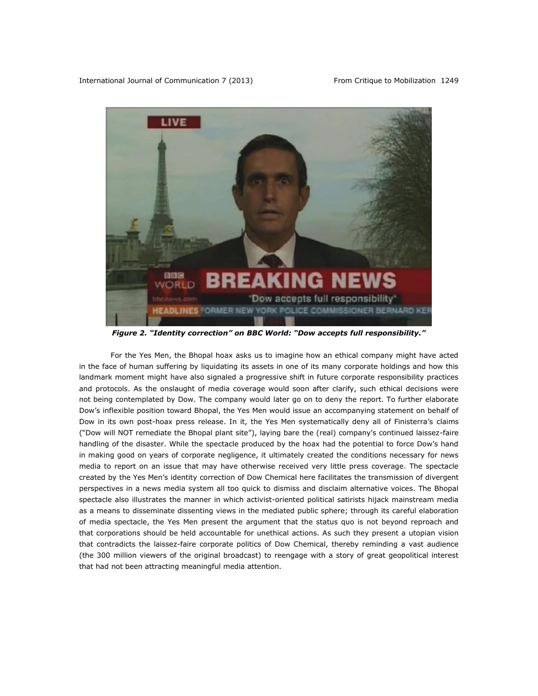

*Figure 2. "Identity correction" on BBC World: "Dow accepts full responsibility."*

For the Yes Men, the Bhopal hoax asks us to imagine how an ethical company might have acted in the face of human suffering by liquidating its assets in one of its many corporate holdings and how this landmark moment might have also signaled a progressive shift in future corporate responsibility practices and protocols. As the onslaught of media coverage would soon after clarify, such ethical decisions were not being contemplated by Dow. The company would later go on to deny the report. To further elaborate Dow's inflexible position toward Bhopal, the Yes Men would issue an accompanying statement on behalf of Dow in its own post-hoax press release. In it, the Yes Men systematically deny all of Finisterra's claims ("Dow will NOT remediate the Bhopal plant site"), laying bare the (real) company's continued laissez-faire handling of the disaster. While the spectacle produced by the hoax had the potential to force Dow's hand in making good on years of corporate negligence, it ultimately created the conditions necessary for news media to report on an issue that may have otherwise received very little press coverage. The spectacle created by the Yes Men's identity correction of Dow Chemical here facilitates the transmission of divergent perspectives in a news media system all too quick to dismiss and disclaim alternative voices. The Bhopal spectacle also illustrates the manner in which activist-oriented political satirists hijack mainstream media as a means to disseminate dissenting views in the mediated public sphere; through its careful elaboration of media spectacle, the Yes Men present the argument that the status quo is not beyond reproach and that corporations should be held accountable for unethical actions. As such they present a utopian vision that contradicts the laissez-faire corporate politics of Dow Chemical, thereby reminding a vast audience (the 300 million viewers of the original broadcast) to reengage with a story of great geopolitical interest that had not been attracting meaningful media attention.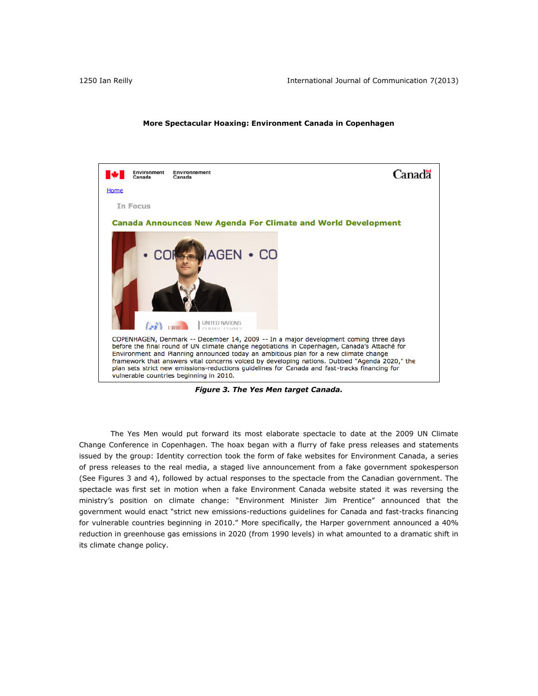# **More Spectacular Hoaxing: Environment Canada in Copenhagen**



*Figure 3. The Yes Men target Canada.*

The Yes Men would put forward its most elaborate spectacle to date at the 2009 UN Climate Change Conference in Copenhagen. The hoax began with a flurry of fake press releases and statements issued by the group: Identity correction took the form of fake websites for Environment Canada, a series of press releases to the real media, a staged live announcement from a fake government spokesperson (See Figures 3 and 4), followed by actual responses to the spectacle from the Canadian government. The spectacle was first set in motion when a fake Environment Canada website stated it was reversing the ministry's position on climate change: "Environment Minister Jim Prentice" announced that the government would enact "strict new emissions-reductions guidelines for Canada and fast-tracks financing for vulnerable countries beginning in 2010." More specifically, the Harper government announced a 40% reduction in greenhouse gas emissions in 2020 (from 1990 levels) in what amounted to a dramatic shift in its climate change policy.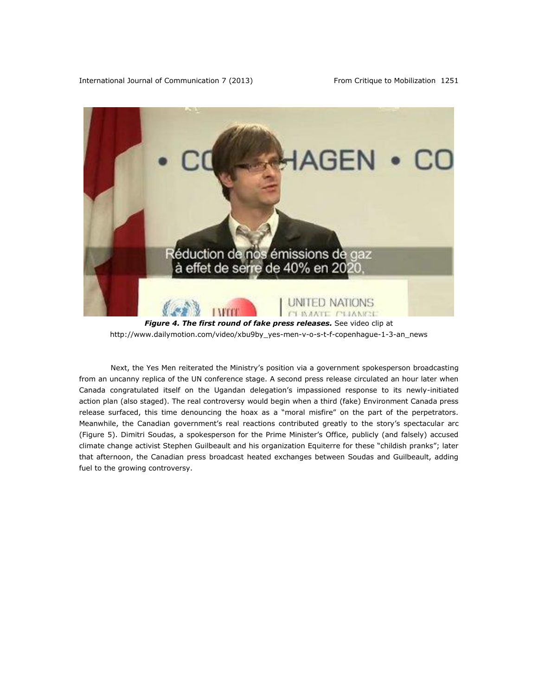International Journal of Communication 7 (2013) From Critique to Mobilization 1251



*Figure 4. The first round of fake press releases.* See video clip at [http://www.dailymotion.com/video/xbu9by\\_yes-men-v-o-s-t-f-copenhague-1-3-an\\_news](http://www.dailymotion.com/video/xbu9by_yes-men-v-o-s-t-f-copenhague-1-3-an_news)

Next, the Yes Men reiterated the Ministry's position via a government spokesperson broadcasting from an uncanny replica of the UN conference stage. A second press release circulated an hour later when Canada congratulated itself on the Ugandan delegation's impassioned response to its newly-initiated action plan (also staged). The real controversy would begin when a third (fake) Environment Canada press release surfaced, this time denouncing the hoax as a "moral misfire" on the part of the perpetrators. Meanwhile, the Canadian government's real reactions contributed greatly to the story's spectacular arc (Figure 5). Dimitri Soudas, a spokesperson for the Prime Minister's Office, publicly (and falsely) accused climate change activist Stephen Guilbeault and his organization Equiterre for these "childish pranks"; later that afternoon, the Canadian press broadcast heated exchanges between Soudas and Guilbeault, adding fuel to the growing controversy.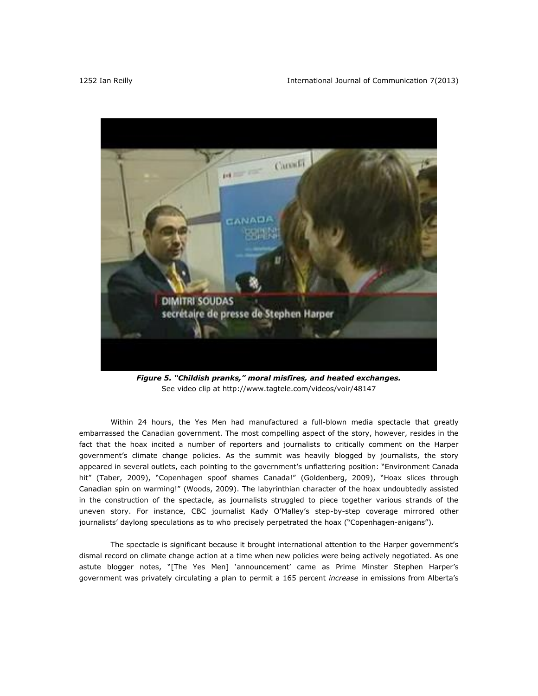

*Figure 5. "Childish pranks," moral misfires, and heated exchanges.* See video clip at<http://www.tagtele.com/videos/voir/48147>

Within 24 hours, the Yes Men had manufactured a full-blown media spectacle that greatly embarrassed the Canadian government. The most compelling aspect of the story, however, resides in the fact that the hoax incited a number of reporters and journalists to critically comment on the Harper government's climate change policies. As the summit was heavily blogged by journalists, the story appeared in several outlets, each pointing to the government's unflattering position: "Environment Canada hit" (Taber, 2009), "Copenhagen spoof shames Canada!" (Goldenberg, 2009), "Hoax slices through Canadian spin on warming!" (Woods, 2009). The labyrinthian character of the hoax undoubtedly assisted in the construction of the spectacle, as journalists struggled to piece together various strands of the uneven story. For instance, CBC journalist Kady O'Malley's step-by-step coverage mirrored other journalists' daylong speculations as to who precisely perpetrated the hoax ("Copenhagen-anigans").

The spectacle is significant because it brought international attention to the Harper government's dismal record on climate change action at a time when new policies were being actively negotiated. As one astute blogger notes, "[The Yes Men] 'announcement' came as Prime Minster Stephen Harper's government was privately circulating a plan to permit a 165 percent *increase* in emissions from Alberta's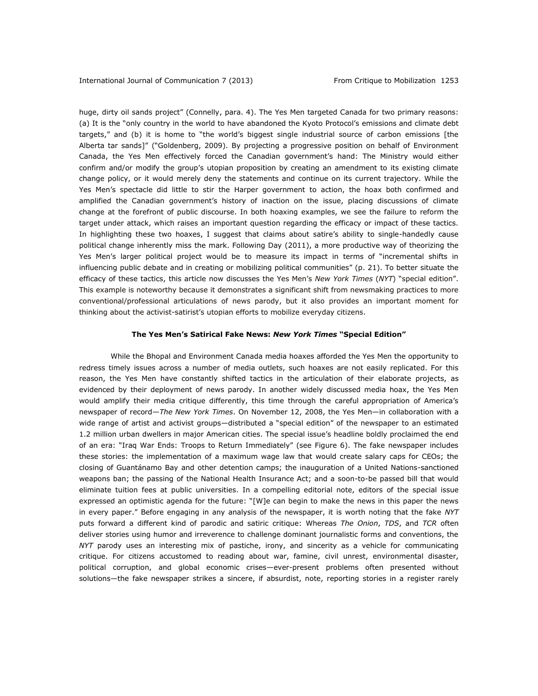huge, dirty oil sands project" (Connelly, para. 4). The Yes Men targeted Canada for two primary reasons: (a) It is the "only country in the world to have [abandoned the Kyoto Protocol's](http://www.cbc.ca/world/story/2007/06/04/harper-germany.html) emissions and climate debt targets," and (b) it is home to "the world's biggest single industrial source of carbon emissions [the Alberta tar sands]" ("Goldenberg, 2009). By projecting a progressive position on behalf of Environment Canada, the Yes Men effectively forced the Canadian government's hand: The Ministry would either confirm and/or modify the group's utopian proposition by creating an amendment to its existing climate change policy, or it would merely deny the statements and continue on its current trajectory. While the Yes Men's spectacle did little to stir the Harper government to action, the hoax both confirmed and amplified the Canadian government's history of inaction on the issue, placing discussions of climate change at the forefront of public discourse. In both hoaxing examples, we see the failure to reform the target under attack, which raises an important question regarding the efficacy or impact of these tactics. In highlighting these two hoaxes, I suggest that claims about satire's ability to single-handedly cause political change inherently miss the mark. Following Day (2011), a more productive way of theorizing the Yes Men's larger political project would be to measure its impact in terms of "incremental shifts in influencing public debate and in creating or mobilizing political communities" (p. 21). To better situate the efficacy of these tactics, this article now discusses the Yes Men's *New York Times* (*NYT*) "special edition". This example is noteworthy because it demonstrates a significant shift from newsmaking practices to more conventional/professional articulations of news parody, but it also provides an important moment for thinking about the activist-satirist's utopian efforts to mobilize everyday citizens.

#### **The Yes Men's Satirical Fake News:** *New York Times* **"Special Edition"**

While the Bhopal and Environment Canada media hoaxes afforded the Yes Men the opportunity to redress timely issues across a number of media outlets, such hoaxes are not easily replicated. For this reason, the Yes Men have constantly shifted tactics in the articulation of their elaborate projects, as evidenced by their deployment of news parody. In another widely discussed media hoax, the Yes Men would amplify their media critique differently, this time through the careful appropriation of America's newspaper of record—*The New York Times*. On November 12, 2008, the Yes Men—in collaboration with a wide range of artist and activist groups—distributed a "special edition" of the newspaper to an estimated 1.2 million urban dwellers in major American cities. The special issue's headline boldly proclaimed the end of an era: "Iraq War Ends: Troops to Return Immediately" (see Figure 6). The fake newspaper includes these stories: the implementation of a maximum wage law that would create salary caps for CEOs; the closing of Guantánamo Bay and other detention camps; the inauguration of a United Nations-sanctioned weapons ban; the passing of the National Health Insurance Act; and a soon-to-be passed bill that would eliminate tuition fees at public universities. In a compelling editorial note, editors of the special issue expressed an optimistic agenda for the future: "[W]e can begin to make the news in this paper the news in every paper." Before engaging in any analysis of the newspaper, it is worth noting that the fake *NYT* puts forward a different kind of parodic and satiric critique: Whereas *The Onion*, *TDS*, and *TCR* often deliver stories using humor and irreverence to challenge dominant journalistic forms and conventions, the *NYT* parody uses an interesting mix of pastiche, irony, and sincerity as a vehicle for communicating critique. For citizens accustomed to reading about war, famine, civil unrest, environmental disaster, political corruption, and global economic crises—ever-present problems often presented without solutions—the fake newspaper strikes a sincere, if absurdist, note, reporting stories in a register rarely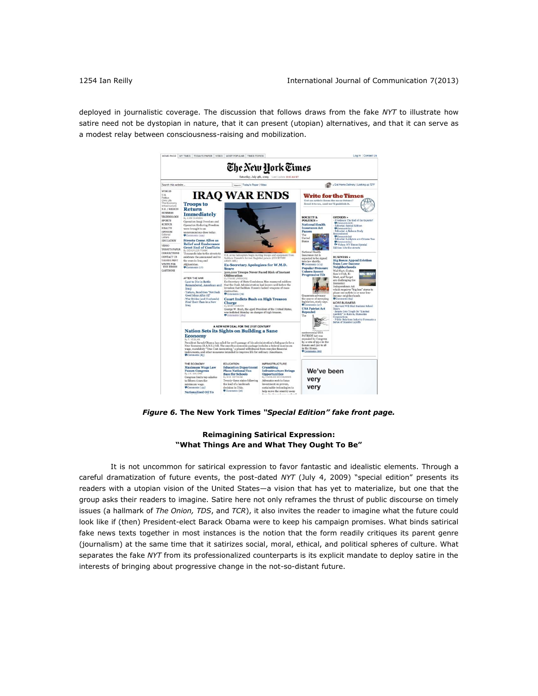deployed in journalistic coverage. The discussion that follows draws from the fake *NYT* to illustrate how satire need not be dystopian in nature, that it can present (utopian) alternatives, and that it can serve as a modest relay between consciousness-raising and mobilization.



*Figure 6.* **The New York Times** *"Special Edition" fake front page.*

# **Reimagining Satirical Expression: "What Things Are and What They Ought To Be"**

It is not uncommon for satirical expression to favor fantastic and idealistic elements. Through a careful dramatization of future events, the post-dated *NYT* (July 4, 2009) "special edition" presents its readers with a utopian vision of the United States—a vision that has yet to materialize, but one that the group asks their readers to imagine. Satire here not only reframes the thrust of public discourse on timely issues (a hallmark of *The Onion, TDS*, and *TCR*), it also invites the reader to imagine what the future could look like if (then) President-elect Barack Obama were to keep his campaign promises. What binds satirical fake news texts together in most instances is the notion that the form readily critiques its parent genre (journalism) at the same time that it satirizes social, moral, ethical, and political spheres of culture. What separates the fake *NYT* from its professionalized counterparts is its explicit mandate to deploy satire in the interests of bringing about progressive change in the not-so-distant future.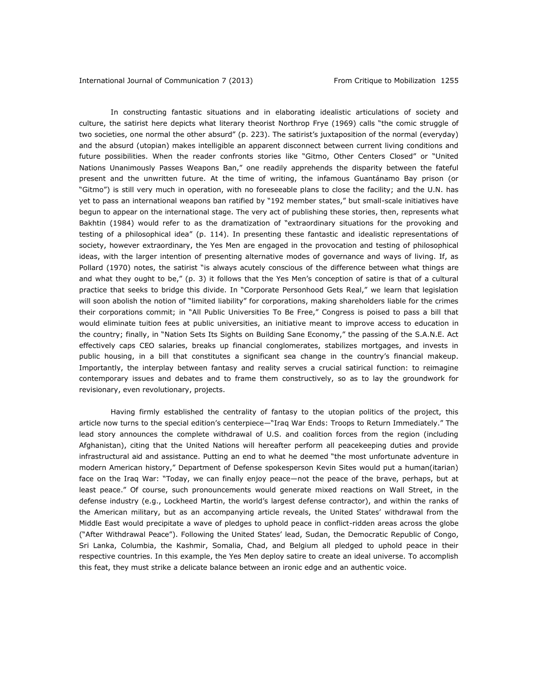In constructing fantastic situations and in elaborating idealistic articulations of society and culture, the satirist here depicts what literary theorist Northrop Frye (1969) calls "the comic struggle of two societies, one normal the other absurd" (p. 223). The satirist's juxtaposition of the normal (everyday) and the absurd (utopian) makes intelligible an apparent disconnect between current living conditions and future possibilities. When the reader confronts stories like "Gitmo, Other Centers Closed" or "United Nations Unanimously Passes Weapons Ban," one readily apprehends the disparity between the fateful present and the unwritten future. At the time of writing, the infamous Guantánamo Bay prison (or "Gitmo") is still very much in operation, with no foreseeable plans to close the facility; and the U.N. has yet to pass an international weapons ban ratified by "192 member states," but small-scale initiatives have begun to appear on the international stage. The very act of publishing these stories, then, represents what Bakhtin (1984) would refer to as the dramatization of "extraordinary situations for the provoking and testing of a philosophical idea" (p. 114). In presenting these fantastic and idealistic representations of society, however extraordinary, the Yes Men are engaged in the provocation and testing of philosophical ideas, with the larger intention of presenting alternative modes of governance and ways of living. If, as Pollard (1970) notes, the satirist "is always acutely conscious of the difference between what things are and what they ought to be," (p. 3) it follows that the Yes Men's conception of satire is that of a cultural practice that seeks to bridge this divide. In "Corporate Personhood Gets Real," we learn that legislation will soon abolish the notion of "limited liability" for corporations, making shareholders liable for the crimes their corporations commit; in "All Public Universities To Be Free," Congress is poised to pass a bill that would eliminate tuition fees at public universities, an initiative meant to improve access to education in the country; finally, in "Nation Sets Its Sights on Building Sane Economy," the passing of the S.A.N.E. Act effectively caps CEO salaries, breaks up financial conglomerates, stabilizes mortgages, and invests in public housing, in a bill that constitutes a significant sea change in the country's financial makeup. Importantly, the interplay between fantasy and reality serves a crucial satirical function: to reimagine contemporary issues and debates and to frame them constructively, so as to lay the groundwork for revisionary, even revolutionary, projects.

Having firmly established the centrality of fantasy to the utopian politics of the project, this article now turns to the special edition's centerpiece—"Iraq War Ends: Troops to Return Immediately." The lead story announces the complete withdrawal of U.S. and coalition forces from the region (including Afghanistan), citing that the United Nations will hereafter perform all peacekeeping duties and provide infrastructural aid and assistance. Putting an end to what he deemed "the most unfortunate adventure in modern American history," Department of Defense spokesperson Kevin Sites would put a human(itarian) face on the Iraq War: "Today, we can finally enjoy peace—not the peace of the brave, perhaps, but at least peace." Of course, such pronouncements would generate mixed reactions on Wall Street, in the defense industry (e.g., Lockheed Martin, the world's largest defense contractor), and within the ranks of the American military, but as an accompanying article reveals, the United States' withdrawal from the Middle East would precipitate a wave of pledges to uphold peace in conflict-ridden areas across the globe ("After Withdrawal Peace"). Following the United States' lead, Sudan, the Democratic Republic of Congo, Sri Lanka, Columbia, the Kashmir, Somalia, Chad, and Belgium all pledged to uphold peace in their respective countries. In this example, the Yes Men deploy satire to create an ideal universe. To accomplish this feat, they must strike a delicate balance between an ironic edge and an authentic voice.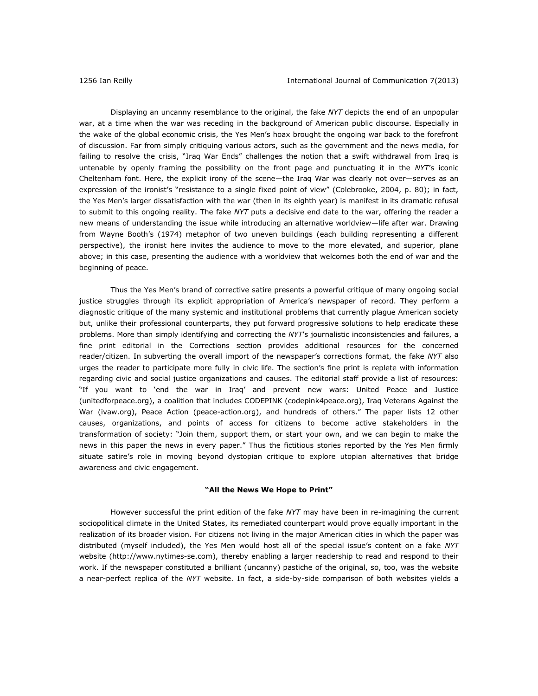Displaying an uncanny resemblance to the original, the fake *NYT* depicts the end of an unpopular war, at a time when the war was receding in the background of American public discourse. Especially in the wake of the global economic crisis, the Yes Men's hoax brought the ongoing war back to the forefront of discussion. Far from simply critiquing various actors, such as the government and the news media, for failing to resolve the crisis, "Iraq War Ends" challenges the notion that a swift withdrawal from Iraq is untenable by openly framing the possibility on the front page and punctuating it in the *NYT*'s iconic Cheltenham font. Here, the explicit irony of the scene—the Iraq War was clearly not over—serves as an expression of the ironist's "resistance to a single fixed point of view" (Colebrooke, 2004, p. 80); in fact, the Yes Men's larger dissatisfaction with the war (then in its eighth year) is manifest in its dramatic refusal to submit to this ongoing reality. The fake *NYT* puts a decisive end date to the war, offering the reader a new means of understanding the issue while introducing an alternative worldview—life after war. Drawing from Wayne Booth's (1974) metaphor of two uneven buildings (each building representing a different perspective), the ironist here invites the audience to move to the more elevated, and superior, plane above; in this case, presenting the audience with a worldview that welcomes both the end of war and the beginning of peace.

Thus the Yes Men's brand of corrective satire presents a powerful critique of many ongoing social justice struggles through its explicit appropriation of America's newspaper of record. They perform a diagnostic critique of the many systemic and institutional problems that currently plague American society but, unlike their professional counterparts, they put forward progressive solutions to help eradicate these problems. More than simply identifying and correcting the *NYT*'s journalistic inconsistencies and failures, a fine print editorial in the Corrections section provides additional resources for the concerned reader/citizen. In subverting the overall import of the newspaper's corrections format, the fake *NYT* also urges the reader to participate more fully in civic life. The section's fine print is replete with information regarding civic and social justice organizations and causes. The editorial staff provide a list of resources: "If you want to 'end the war in Iraq' and prevent new wars: United Peace and Justice (unitedforpeace.org), a coalition that includes CODEPINK (codepink4peace.org), Iraq Veterans Against the War (ivaw.org), Peace Action (peace-action.org), and hundreds of others." The paper lists 12 other causes, organizations, and points of access for citizens to become active stakeholders in the transformation of society: "Join them, support them, or start your own, and we can begin to make the news in this paper the news in every paper." Thus the fictitious stories reported by the Yes Men firmly situate satire's role in moving beyond dystopian critique to explore utopian alternatives that bridge awareness and civic engagement.

#### **"All the News We Hope to Print"**

However successful the print edition of the fake *NYT* may have been in re-imagining the current sociopolitical climate in the United States, its remediated counterpart would prove equally important in the realization of its broader vision. For citizens not living in the major American cities in which the paper was distributed (myself included), the Yes Men would host all of the special issue's content on a fake *NYT* website [\(http://www.nytimes-se.com\)](http://www.nytimes-se.com/), thereby enabling a larger readership to read and respond to their work. If the newspaper constituted a brilliant (uncanny) pastiche of the original, so, too, was the website a near-perfect replica of the *NYT* website. In fact, a side-by-side comparison of both websites yields a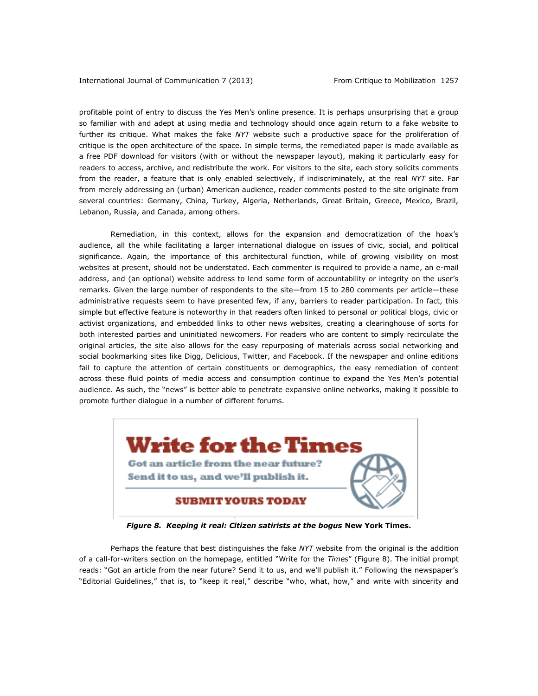profitable point of entry to discuss the Yes Men's online presence. It is perhaps unsurprising that a group so familiar with and adept at using media and technology should once again return to a fake website to further its critique. What makes the fake *NYT* website such a productive space for the proliferation of critique is the open architecture of the space. In simple terms, the remediated paper is made available as a free PDF download for visitors (with or without the newspaper layout), making it particularly easy for readers to access, archive, and redistribute the work. For visitors to the site, each story solicits comments from the reader, a feature that is only enabled selectively, if indiscriminately, at the real *NYT* site. Far from merely addressing an (urban) American audience, reader comments posted to the site originate from several countries: Germany, China, Turkey, Algeria, Netherlands, Great Britain, Greece, Mexico, Brazil, Lebanon, Russia, and Canada, among others.

Remediation, in this context, allows for the expansion and democratization of the hoax's audience, all the while facilitating a larger international dialogue on issues of civic, social, and political significance. Again, the importance of this architectural function, while of growing visibility on most websites at present, should not be understated. Each commenter is required to provide a name, an e-mail address, and (an optional) website address to lend some form of accountability or integrity on the user's remarks. Given the large number of respondents to the site—from 15 to 280 comments per article—these administrative requests seem to have presented few, if any, barriers to reader participation. In fact, this simple but effective feature is noteworthy in that readers often linked to personal or political blogs, civic or activist organizations, and embedded links to other news websites, creating a clearinghouse of sorts for both interested parties and uninitiated newcomers. For readers who are content to simply recirculate the original articles, the site also allows for the easy repurposing of materials across social networking and social bookmarking sites like Digg, Delicious, Twitter, and Facebook. If the newspaper and online editions fail to capture the attention of certain constituents or demographics, the easy remediation of content across these fluid points of media access and consumption continue to expand the Yes Men's potential audience. As such, the "news" is better able to penetrate expansive online networks, making it possible to promote further dialogue in a number of different forums.



*Figure 8. Keeping it real: Citizen satirists at the bogus* **New York Times.**

Perhaps the feature that best distinguishes the fake *NYT* website from the original is the addition of a call-for-writers section on the homepage, entitled "Write for the *Times*" (Figure 8). The initial prompt reads: "Got an article from the near future? Send it to us, and we'll publish it." Following the newspaper's "Editorial Guidelines," that is, to "keep it real," describe "who, what, how," and write with sincerity and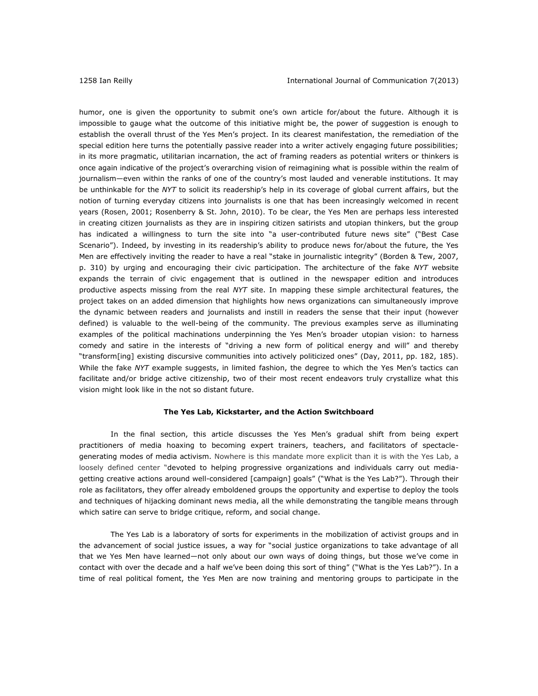humor, one is given the opportunity to submit one's own article for/about the future. Although it is impossible to gauge what the outcome of this initiative might be, the power of suggestion is enough to establish the overall thrust of the Yes Men's project. In its clearest manifestation, the remediation of the special edition here turns the potentially passive reader into a writer actively engaging future possibilities; in its more pragmatic, utilitarian incarnation, the act of framing readers as potential writers or thinkers is once again indicative of the project's overarching vision of reimagining what is possible within the realm of journalism—even within the ranks of one of the country's most lauded and venerable institutions. It may be unthinkable for the *NYT* to solicit its readership's help in its coverage of global current affairs, but the notion of turning everyday citizens into journalists is one that has been increasingly welcomed in recent years (Rosen, 2001; Rosenberry & St. John, 2010). To be clear, the Yes Men are perhaps less interested in creating citizen journalists as they are in inspiring citizen satirists and utopian thinkers, but the group has indicated a willingness to turn the site into "a user-contributed future news site" ("Best Case Scenario"). Indeed, by investing in its readership's ability to produce news for/about the future, the Yes Men are effectively inviting the reader to have a real "stake in journalistic integrity" (Borden & Tew, 2007, p. 310) by urging and encouraging their civic participation. The architecture of the fake *NYT* website expands the terrain of civic engagement that is outlined in the newspaper edition and introduces productive aspects missing from the real *NYT* site. In mapping these simple architectural features, the project takes on an added dimension that highlights how news organizations can simultaneously improve the dynamic between readers and journalists and instill in readers the sense that their input (however defined) is valuable to the well-being of the community. The previous examples serve as illuminating examples of the political machinations underpinning the Yes Men's broader utopian vision: to harness comedy and satire in the interests of "driving a new form of political energy and will" and thereby "transform[ing] existing discursive communities into actively politicized ones" (Day, 2011, pp. 182, 185). While the fake *NYT* example suggests, in limited fashion, the degree to which the Yes Men's tactics can facilitate and/or bridge active citizenship, two of their most recent endeavors truly crystallize what this vision might look like in the not so distant future.

#### **The Yes Lab, Kickstarter, and the Action Switchboard**

In the final section, this article discusses the Yes Men's gradual shift from being expert practitioners of media hoaxing to becoming expert trainers, teachers, and facilitators of spectaclegenerating modes of media activism. Nowhere is this mandate more explicit than it is with the Yes Lab, a loosely defined center "devoted to helping progressive organizations and individuals carry out mediagetting creative actions around well-considered [campaign] goals" ("What is the Yes Lab?"). Through their role as facilitators, they offer already emboldened groups the opportunity and expertise to deploy the tools and techniques of hijacking dominant news media, all the while demonstrating the tangible means through which satire can serve to bridge critique, reform, and social change.

The Yes Lab is a laboratory of sorts for experiments in the mobilization of activist groups and in the advancement of social justice issues, a way for "social justice organizations to take advantage of all that we Yes Men have learned—not only about our own ways of doing things, but those we've come in contact with over the decade and a half we've been doing this sort of thing" ("What is the Yes Lab?"). In a time of real political foment, the Yes Men are now training and mentoring groups to participate in the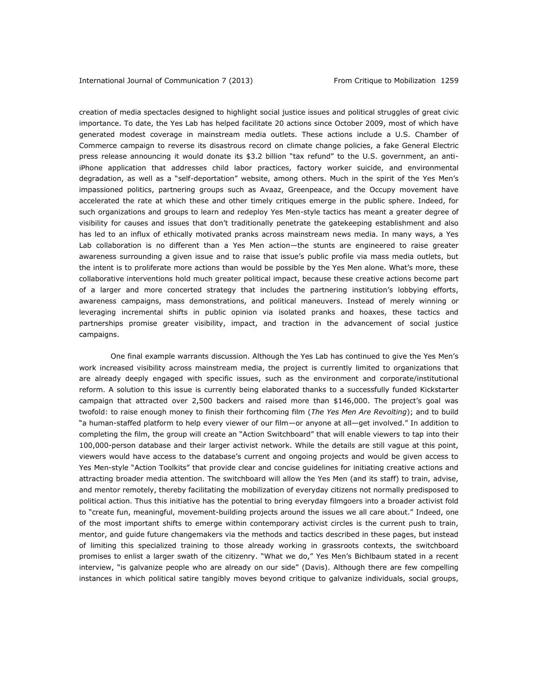creation of media spectacles designed to highlight social justice issues and political struggles of great civic importance. To date, the Yes Lab has helped facilitate 20 actions since October 2009, most of which have generated modest coverage in mainstream media outlets. These actions include a U.S. Chamber of Commerce campaign to reverse its disastrous record on climate change policies, a fake General Electric press release announcing it would donate its \$3.2 billion "tax refund" to the U.S. government, an antiiPhone application that addresses child labor practices, factory worker suicide, and environmental degradation, as well as a "self-deportation" website, among others. Much in the spirit of the Yes Men's impassioned politics, partnering groups such as Avaaz, Greenpeace, and the Occupy movement have accelerated the rate at which these and other timely critiques emerge in the public sphere. Indeed, for such organizations and groups to learn and redeploy Yes Men-style tactics has meant a greater degree of visibility for causes and issues that don't traditionally penetrate the gatekeeping establishment and also has led to an influx of ethically motivated pranks across mainstream news media. In many ways, a Yes Lab collaboration is no different than a Yes Men action—the stunts are engineered to raise greater awareness surrounding a given issue and to raise that issue's public profile via mass media outlets, but the intent is to proliferate more actions than would be possible by the Yes Men alone. What's more, these collaborative interventions hold much greater political impact, because these creative actions become part of a larger and more concerted strategy that includes the partnering institution's lobbying efforts, awareness campaigns, mass demonstrations, and political maneuvers. Instead of merely winning or leveraging incremental shifts in public opinion via isolated pranks and hoaxes, these tactics and partnerships promise greater visibility, impact, and traction in the advancement of social justice campaigns.

One final example warrants discussion. Although the Yes Lab has continued to give the Yes Men's work increased visibility across mainstream media, the project is currently limited to organizations that are already deeply engaged with specific issues, such as the environment and corporate/institutional reform. A solution to this issue is currently being elaborated thanks to a successfully funded Kickstarter campaign that attracted over 2,500 backers and raised more than \$146,000. The project's goal was twofold: to raise enough money to finish their forthcoming film (*The Yes Men Are Revolting*); and to build "a human-staffed platform to help every viewer of our film—or anyone at all—get involved." In addition to completing the film, the group will create an "Action Switchboard" that will enable viewers to tap into their 100,000-person database and their larger activist network. While the details are still vague at this point, viewers would have access to the database's current and ongoing projects and would be given access to Yes Men-style "Action Toolkits" that provide clear and concise guidelines for initiating creative actions and attracting broader media attention. The switchboard will allow the Yes Men (and its staff) to train, advise, and mentor remotely, thereby facilitating the mobilization of everyday citizens not normally predisposed to political action. Thus this initiative has the potential to bring everyday filmgoers into a broader activist fold to "create fun, meaningful, movement-building projects around the issues we all care about." Indeed, one of the most important shifts to emerge within contemporary activist circles is the current push to train, mentor, and guide future changemakers via the methods and tactics described in these pages, but instead of limiting this specialized training to those already working in grassroots contexts, the switchboard promises to enlist a larger swath of the citizenry. "What we do," Yes Men's Bichlbaum stated in a recent interview, "is galvanize people who are already on our side" (Davis). Although there are few compelling instances in which political satire tangibly moves beyond critique to galvanize individuals, social groups,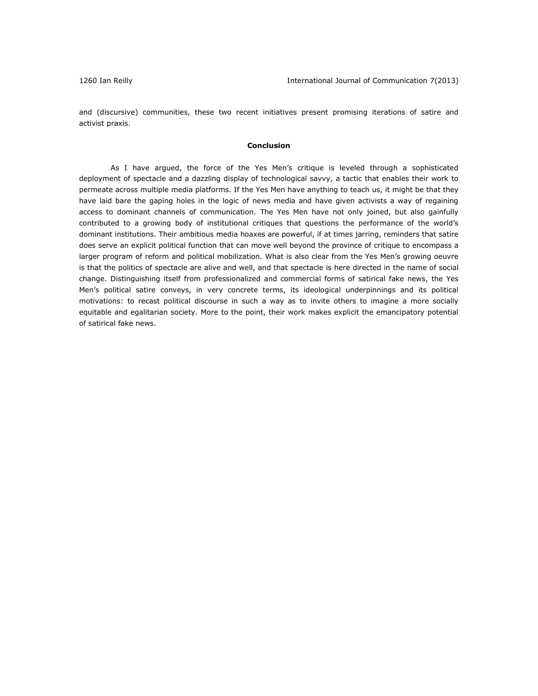and (discursive) communities, these two recent initiatives present promising iterations of satire and activist praxis.

#### **Conclusion**

As I have argued, the force of the Yes Men's critique is leveled through a sophisticated deployment of spectacle and a dazzling display of technological savvy, a tactic that enables their work to permeate across multiple media platforms. If the Yes Men have anything to teach us, it might be that they have laid bare the gaping holes in the logic of news media and have given activists a way of regaining access to dominant channels of communication. The Yes Men have not only joined, but also gainfully contributed to a growing body of institutional critiques that questions the performance of the world's dominant institutions. Their ambitious media hoaxes are powerful, if at times jarring, reminders that satire does serve an explicit political function that can move well beyond the province of critique to encompass a larger program of reform and political mobilization. What is also clear from the Yes Men's growing oeuvre is that the politics of spectacle are alive and well, and that spectacle is here directed in the name of social change. Distinguishing itself from professionalized and commercial forms of satirical fake news, the Yes Men's political satire conveys, in very concrete terms, its ideological underpinnings and its political motivations: to recast political discourse in such a way as to invite others to imagine a more socially equitable and egalitarian society. More to the point, their work makes explicit the emancipatory potential of satirical fake news.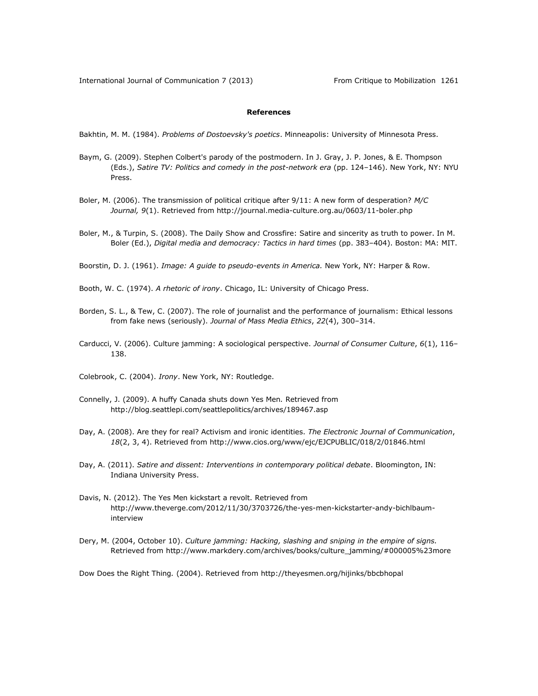## **References**

Bakhtin, M. M. (1984). *Problems of Dostoevsky's poetics*. Minneapolis: University of Minnesota Press.

- Baym, G. (2009). Stephen Colbert's parody of the postmodern. In J. Gray, J. P. Jones, & E. Thompson (Eds.), *Satire TV: Politics and comedy in the post-network era* (pp. 124–146). New York, NY: NYU Press.
- Boler, M. (2006). The transmission of political critique after 9/11: A new form of desperation? *M/C Journal, 9*(1). Retrieved fro[m http://journal.media-culture.org.au/0603/11-boler.php](http://journal.media-culture.org.au/0603/11-boler.php)
- Boler, M., & Turpin, S. (2008). The Daily Show and Crossfire: Satire and sincerity as truth to power. In M. Boler (Ed.), *Digital media and democracy: Tactics in hard times* (pp. 383–404). Boston: MA: MIT.
- Boorstin, D. J. (1961). *Image: A guide to pseudo-events in America.* New York, NY: Harper & Row.
- Booth, W. C. (1974). *A rhetoric of irony*. Chicago, IL: University of Chicago Press.
- Borden, S. L., & Tew, C. (2007). The role of journalist and the performance of journalism: Ethical lessons from fake news (seriously). *Journal of Mass Media Ethics*, *22*(4), 300–314.
- Carducci, V. (2006). Culture jamming: A sociological perspective. *Journal of Consumer Culture*, *6*(1), 116– 138.
- Colebrook, C. (2004). *Irony*. New York, NY: Routledge.
- Connelly, J. (2009). A huffy Canada shuts down Yes Men*.* Retrieved from <http://blog.seattlepi.com/seattlepolitics/archives/189467.asp>
- Day, A. (2008). Are they for real? Activism and ironic identities. *The Electronic Journal of Communication*, *18*(2, 3, 4). Retrieved from<http://www.cios.org/www/ejc/EJCPUBLIC/018/2/01846.html>
- Day, A. (2011). *Satire and dissent: Interventions in contemporary political debate*. Bloomington, IN: Indiana University Press.
- Davis, N. (2012). The Yes Men kickstart a revolt. Retrieved from [http://www.theverge.com/2012/11/30/3703726/the-yes-men-kickstarter-andy-bichlbaum](http://www.theverge.com/2012/11/30/3703726/the-yes-men-kickstarter-andy-bichlbaum-interview)[interview](http://www.theverge.com/2012/11/30/3703726/the-yes-men-kickstarter-andy-bichlbaum-interview)
- Dery, M. (2004, October 10). *Culture jamming: Hacking, slashing and sniping in the empire of signs.* Retrieved from [http://www.markdery.com/archives/books/culture\\_jamming/#000005%23more](http://www.markdery.com/archives/books/culture_jamming/#000005%23more)

Dow Does the Right Thing*.* (2004). Retrieved from<http://theyesmen.org/hijinks/bbcbhopal>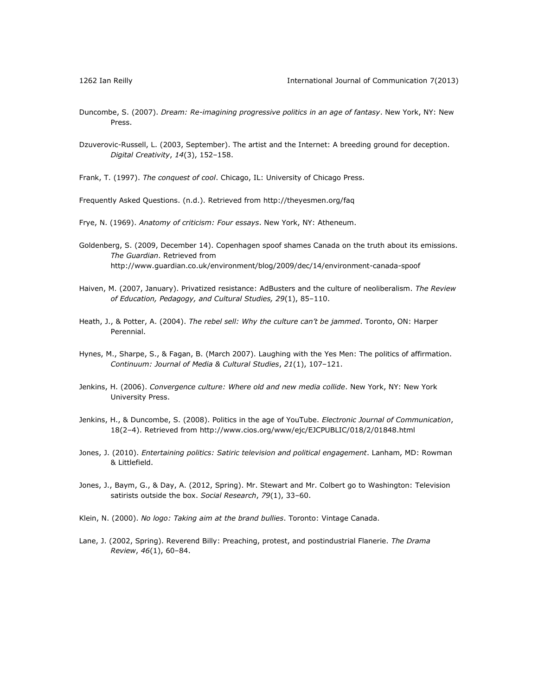- Duncombe, S. (2007). *Dream: Re-imagining progressive politics in an age of fantasy*. New York, NY: New Press.
- Dzuverovic-Russell, L. (2003, September). The artist and the Internet: A breeding ground for deception. *Digital Creativity*, *14*(3), 152–158.

Frank, T. (1997). *The conquest of cool*. Chicago, IL: University of Chicago Press.

Frequently Asked Questions. (n.d.). Retrieved from<http://theyesmen.org/faq>

Frye, N. (1969). *Anatomy of criticism: Four essays*. New York, NY: Atheneum.

- Goldenberg, S. (2009, December 14). Copenhagen spoof shames Canada on the truth about its emissions. *The Guardian*. Retrieved from <http://www.guardian.co.uk/environment/blog/2009/dec/14/environment-canada-spoof>
- Haiven, M. (2007, January). Privatized resistance: AdBusters and the culture of neoliberalism. *The Review of Education, Pedagogy, and Cultural Studies, 29*(1), 85–110.
- Heath, J., & Potter, A. (2004). *The rebel sell: Why the culture can't be jammed*. Toronto, ON: Harper Perennial.
- Hynes, M., Sharpe, S., & Fagan, B. (March 2007). Laughing with the Yes Men: The politics of affirmation. *Continuum: Journal of Media & Cultural Studies*, *21*(1), 107–121.
- Jenkins, H. (2006). *Convergence culture: Where old and new media collide*. New York, NY: New York University Press.
- Jenkins, H., & Duncombe, S. (2008). Politics in the age of YouTube. *Electronic Journal of Communication*, 18(2–4). Retrieved from<http://www.cios.org/www/ejc/EJCPUBLIC/018/2/01848.html>
- Jones, J. (2010). *Entertaining politics: Satiric television and political engagement*. Lanham, MD: Rowman & Littlefield.
- Jones, J., Baym, G., & Day, A. (2012, Spring). Mr. Stewart and Mr. Colbert go to Washington: Television satirists outside the box. *Social Research*, *79*(1), 33–60.
- Klein, N. (2000). *No logo: Taking aim at the brand bullies*. Toronto: Vintage Canada.
- Lane, J. (2002, Spring). Reverend Billy: Preaching, protest, and postindustrial Flanerie. *The Drama Review*, *46*(1), 60–84.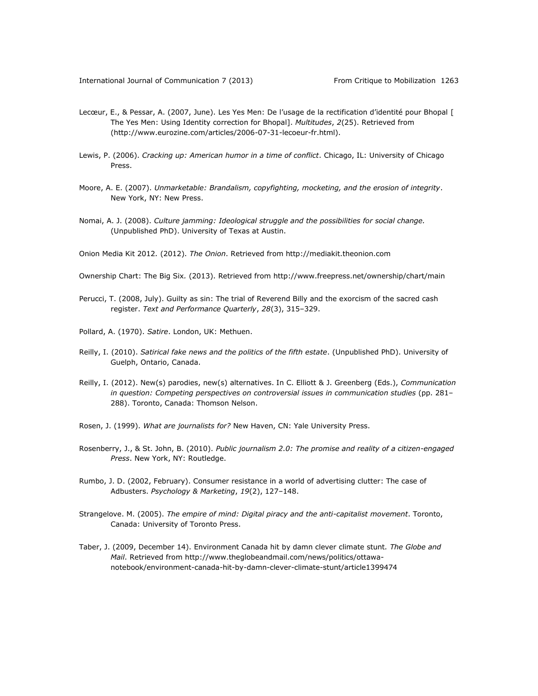- Lecœur, E., & Pessar, A. (2007, June). Les Yes Men: De l'usage de la rectification d'identité pour Bhopal [ The Yes Men: Using Identity correction for Bhopal]. *Multitudes*, *2*(25). Retrieved from [\(http://www.eurozine.com/articles/2006-07-31-lecoeur-fr.html\)](http://www.eurozine.com/articles/2006-07-31-lecoeur-fr.html).
- Lewis, P. (2006). *Cracking up: American humor in a time of conflict*. Chicago, IL: University of Chicago Press.
- Moore, A. E. (2007). *Unmarketable: Brandalism, copyfighting, mocketing, and the erosion of integrity*. New York, NY: New Press.
- Nomai, A. J. (2008). *Culture jamming: Ideological struggle and the possibilities for social change.*  (Unpublished PhD). University of Texas at Austin.

Onion Media Kit 2012*.* (2012). *The Onion*. Retrieved from http://mediakit.theonion.com

- Ownership Chart: The Big Six*.* (2013). Retrieved from<http://www.freepress.net/ownership/chart/main>
- Perucci, T. (2008, July). Guilty as sin: The trial of Reverend Billy and the exorcism of the sacred cash register. *Text and Performance Quarterly*, *28*(3), 315–329.
- Pollard, A. (1970). *Satire*. London, UK: Methuen.
- Reilly, I. (2010). *Satirical fake news and the politics of the fifth estate*. (Unpublished PhD). University of Guelph, Ontario, Canada.
- Reilly, I. (2012). New(s) parodies, new(s) alternatives. In C. Elliott & J. Greenberg (Eds.), *Communication in question: Competing perspectives on controversial issues in communication studies* (pp. 281– 288). Toronto, Canada: Thomson Nelson.
- Rosen, J. (1999). *What are journalists for?* New Haven, CN: Yale University Press.
- Rosenberry, J., & St. John, B. (2010). *Public journalism 2.0: The promise and reality of a citizen-engaged Press*. New York, NY: Routledge.
- Rumbo, J. D. (2002, February). Consumer resistance in a world of advertising clutter: The case of Adbusters. *Psychology & Marketing*, *19*(2), 127–148.
- Strangelove. M. (2005). *The empire of mind: Digital piracy and the anti-capitalist movement*. Toronto, Canada: University of Toronto Press.
- Taber, J. (2009, December 14). Environment Canada hit by damn clever climate stunt*. The Globe and Mail*. Retrieved from [http://www.theglobeandmail.com/news/politics/ottawa](http://www.theglobeandmail.com/news/politics/ottawa-notebook/environment-canada-hit-by-damn-clever-climate-stunt/article1399474)[notebook/environment-canada-hit-by-damn-clever-climate-stunt/article1399474](http://www.theglobeandmail.com/news/politics/ottawa-notebook/environment-canada-hit-by-damn-clever-climate-stunt/article1399474)